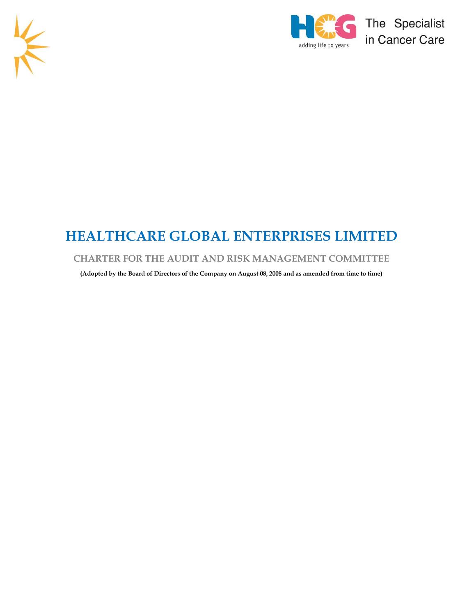



# **HEALTHCARE GLOBAL ENTERPRISES LIMITED**

# **CHARTER FOR THE AUDIT AND RISK MANAGEMENT COMMITTEE**

**(Adopted by the Board of Directors of the Company on August 08, 2008 and as amended from time to time)**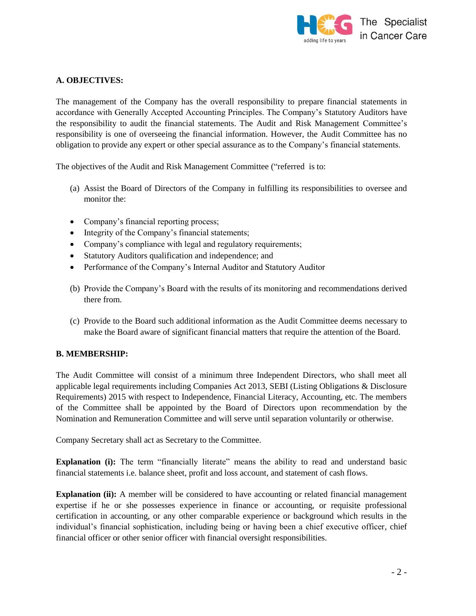

# **A. OBJECTIVES:**

The management of the Company has the overall responsibility to prepare financial statements in accordance with Generally Accepted Accounting Principles. The Company's Statutory Auditors have the responsibility to audit the financial statements. The Audit and Risk Management Committee's responsibility is one of overseeing the financial information. However, the Audit Committee has no obligation to provide any expert or other special assurance as to the Company's financial statements.

The objectives of the Audit and Risk Management Committee ("referred is to:

- (a) Assist the Board of Directors of the Company in fulfilling its responsibilities to oversee and monitor the:
- Company's financial reporting process;
- Integrity of the Company's financial statements;
- Company's compliance with legal and regulatory requirements;
- Statutory Auditors qualification and independence; and
- Performance of the Company's Internal Auditor and Statutory Auditor
- (b) Provide the Company's Board with the results of its monitoring and recommendations derived there from.
- (c) Provide to the Board such additional information as the Audit Committee deems necessary to make the Board aware of significant financial matters that require the attention of the Board.

### **B. MEMBERSHIP:**

The Audit Committee will consist of a minimum three Independent Directors, who shall meet all applicable legal requirements including Companies Act 2013, SEBI (Listing Obligations & Disclosure Requirements) 2015 with respect to Independence, Financial Literacy, Accounting, etc. The members of the Committee shall be appointed by the Board of Directors upon recommendation by the Nomination and Remuneration Committee and will serve until separation voluntarily or otherwise.

Company Secretary shall act as Secretary to the Committee.

**Explanation (i):** The term "financially literate" means the ability to read and understand basic financial statements i.e. balance sheet, profit and loss account, and statement of cash flows.

**Explanation (ii):** A member will be considered to have accounting or related financial management expertise if he or she possesses experience in finance or accounting, or requisite professional certification in accounting, or any other comparable experience or background which results in the individual's financial sophistication, including being or having been a chief executive officer, chief financial officer or other senior officer with financial oversight responsibilities.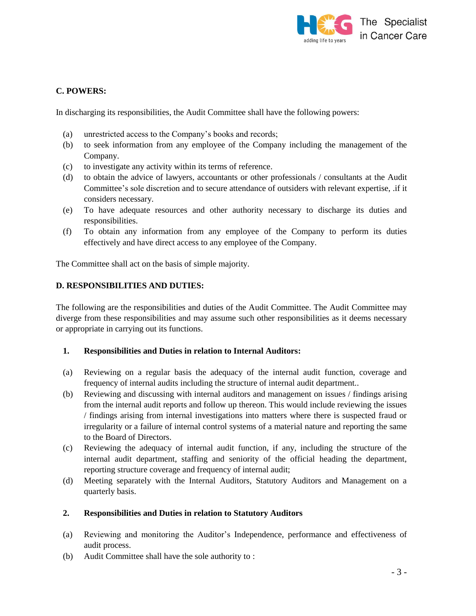

# **C. POWERS:**

In discharging its responsibilities, the Audit Committee shall have the following powers:

- (a) unrestricted access to the Company's books and records;
- (b) to seek information from any employee of the Company including the management of the Company.
- (c) to investigate any activity within its terms of reference.
- (d) to obtain the advice of lawyers, accountants or other professionals / consultants at the Audit Committee's sole discretion and to secure attendance of outsiders with relevant expertise, .if it considers necessary.
- (e) To have adequate resources and other authority necessary to discharge its duties and responsibilities.
- (f) To obtain any information from any employee of the Company to perform its duties effectively and have direct access to any employee of the Company.

The Committee shall act on the basis of simple majority.

#### **D. RESPONSIBILITIES AND DUTIES:**

The following are the responsibilities and duties of the Audit Committee. The Audit Committee may diverge from these responsibilities and may assume such other responsibilities as it deems necessary or appropriate in carrying out its functions.

### **1. Responsibilities and Duties in relation to Internal Auditors:**

- (a) Reviewing on a regular basis the adequacy of the internal audit function, coverage and frequency of internal audits including the structure of internal audit department..
- (b) Reviewing and discussing with internal auditors and management on issues / findings arising from the internal audit reports and follow up thereon. This would include reviewing the issues / findings arising from internal investigations into matters where there is suspected fraud or irregularity or a failure of internal control systems of a material nature and reporting the same to the Board of Directors.
- (c) Reviewing the adequacy of internal audit function, if any, including the structure of the internal audit department, staffing and seniority of the official heading the department, reporting structure coverage and frequency of internal audit;
- (d) Meeting separately with the Internal Auditors, Statutory Auditors and Management on a quarterly basis.

#### **2. Responsibilities and Duties in relation to Statutory Auditors**

- (a) Reviewing and monitoring the Auditor's Independence, performance and effectiveness of audit process.
- (b) Audit Committee shall have the sole authority to :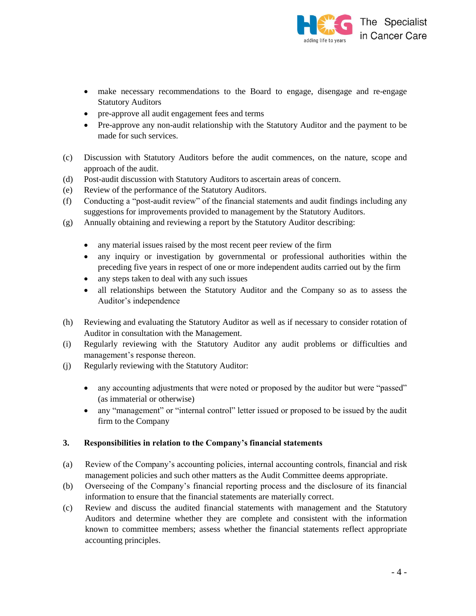

- make necessary recommendations to the Board to engage, disengage and re-engage Statutory Auditors
- pre-approve all audit engagement fees and terms
- Pre-approve any non-audit relationship with the Statutory Auditor and the payment to be made for such services.
- (c) Discussion with Statutory Auditors before the audit commences, on the nature, scope and approach of the audit.
- (d) Post-audit discussion with Statutory Auditors to ascertain areas of concern.
- (e) Review of the performance of the Statutory Auditors.
- (f) Conducting a "post-audit review" of the financial statements and audit findings including any suggestions for improvements provided to management by the Statutory Auditors.
- (g) Annually obtaining and reviewing a report by the Statutory Auditor describing:
	- any material issues raised by the most recent peer review of the firm
	- any inquiry or investigation by governmental or professional authorities within the preceding five years in respect of one or more independent audits carried out by the firm
	- any steps taken to deal with any such issues
	- all relationships between the Statutory Auditor and the Company so as to assess the Auditor's independence
- (h) Reviewing and evaluating the Statutory Auditor as well as if necessary to consider rotation of Auditor in consultation with the Management.
- (i) Regularly reviewing with the Statutory Auditor any audit problems or difficulties and management's response thereon.
- (j) Regularly reviewing with the Statutory Auditor:
	- any accounting adjustments that were noted or proposed by the auditor but were "passed" (as immaterial or otherwise)
	- any "management" or "internal control" letter issued or proposed to be issued by the audit firm to the Company

### **3. Responsibilities in relation to the Company's financial statements**

- (a) Review of the Company's accounting policies, internal accounting controls, financial and risk management policies and such other matters as the Audit Committee deems appropriate.
- (b) Overseeing of the Company's financial reporting process and the disclosure of its financial information to ensure that the financial statements are materially correct.
- (c) Review and discuss the audited financial statements with management and the Statutory Auditors and determine whether they are complete and consistent with the information known to committee members; assess whether the financial statements reflect appropriate accounting principles.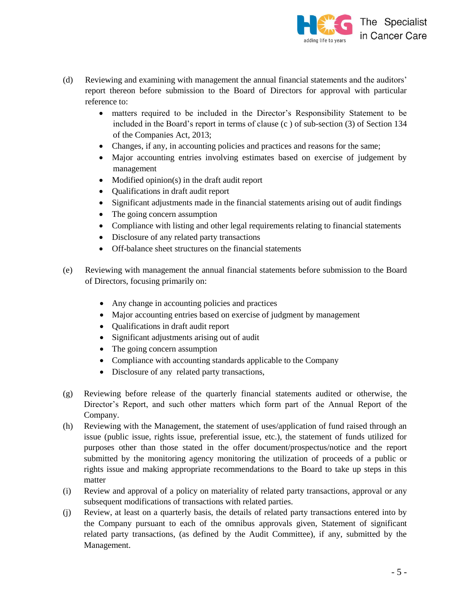

- (d) Reviewing and examining with management the annual financial statements and the auditors' report thereon before submission to the Board of Directors for approval with particular reference to:
	- matters required to be included in the Director's Responsibility Statement to be included in the Board's report in terms of clause (c ) of sub-section (3) of Section 134 of the Companies Act, 2013;
	- Changes, if any, in accounting policies and practices and reasons for the same;
	- Major accounting entries involving estimates based on exercise of judgement by management
	- Modified opinion(s) in the draft audit report
	- Qualifications in draft audit report
	- Significant adjustments made in the financial statements arising out of audit findings
	- The going concern assumption
	- Compliance with listing and other legal requirements relating to financial statements
	- Disclosure of any related party transactions
	- Off-balance sheet structures on the financial statements
- (e) Reviewing with management the annual financial statements before submission to the Board of Directors, focusing primarily on:
	- Any change in accounting policies and practices
	- Major accounting entries based on exercise of judgment by management
	- Qualifications in draft audit report
	- Significant adjustments arising out of audit
	- The going concern assumption
	- Compliance with accounting standards applicable to the Company
	- Disclosure of any related party transactions,
- (g) Reviewing before release of the quarterly financial statements audited or otherwise, the Director's Report, and such other matters which form part of the Annual Report of the Company.
- (h) Reviewing with the Management, the statement of uses/application of fund raised through an issue (public issue, rights issue, preferential issue, etc.), the statement of funds utilized for purposes other than those stated in the offer document/prospectus/notice and the report submitted by the monitoring agency monitoring the utilization of proceeds of a public or rights issue and making appropriate recommendations to the Board to take up steps in this matter
- (i) Review and approval of a policy on materiality of related party transactions, approval or any subsequent modifications of transactions with related parties.
- (j) Review, at least on a quarterly basis, the details of related party transactions entered into by the Company pursuant to each of the omnibus approvals given, Statement of significant related party transactions, (as defined by the Audit Committee), if any, submitted by the Management.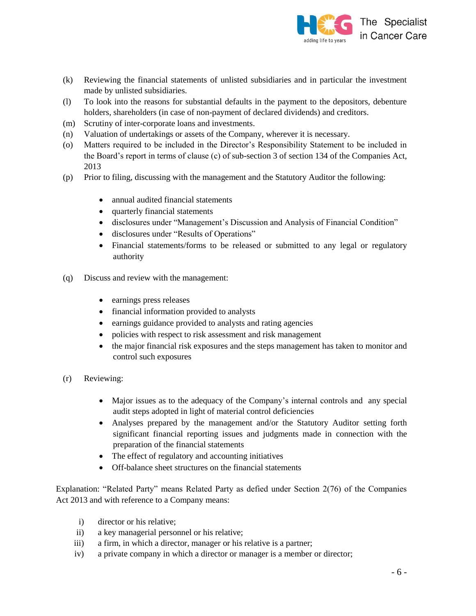

- (k) Reviewing the financial statements of unlisted subsidiaries and in particular the investment made by unlisted subsidiaries.
- (l) To look into the reasons for substantial defaults in the payment to the depositors, debenture holders, shareholders (in case of non-payment of declared dividends) and creditors.
- (m) Scrutiny of inter-corporate loans and investments.
- (n) Valuation of undertakings or assets of the Company, wherever it is necessary.
- (o) Matters required to be included in the Director's Responsibility Statement to be included in the Board's report in terms of clause (c) of sub-section 3 of section 134 of the Companies Act, 2013
- (p) Prior to filing, discussing with the management and the Statutory Auditor the following:
	- annual audited financial statements
	- quarterly financial statements
	- disclosures under "Management's Discussion and Analysis of Financial Condition"
	- disclosures under "Results of Operations"
	- Financial statements/forms to be released or submitted to any legal or regulatory authority
- (q) Discuss and review with the management:
	- earnings press releases
	- financial information provided to analysts
	- earnings guidance provided to analysts and rating agencies
	- policies with respect to risk assessment and risk management
	- the major financial risk exposures and the steps management has taken to monitor and control such exposures
- (r) Reviewing:
	- Major issues as to the adequacy of the Company's internal controls and any special audit steps adopted in light of material control deficiencies
	- Analyses prepared by the management and/or the Statutory Auditor setting forth significant financial reporting issues and judgments made in connection with the preparation of the financial statements
	- The effect of regulatory and accounting initiatives
	- Off-balance sheet structures on the financial statements

Explanation: "Related Party" means Related Party as defied under Section 2(76) of the Companies Act 2013 and with reference to a Company means:

- i) director or his relative;
- ii) a key managerial personnel or his relative;
- iii) a firm, in which a director, manager or his relative is a partner;
- iv) a private company in which a director or manager is a member or director;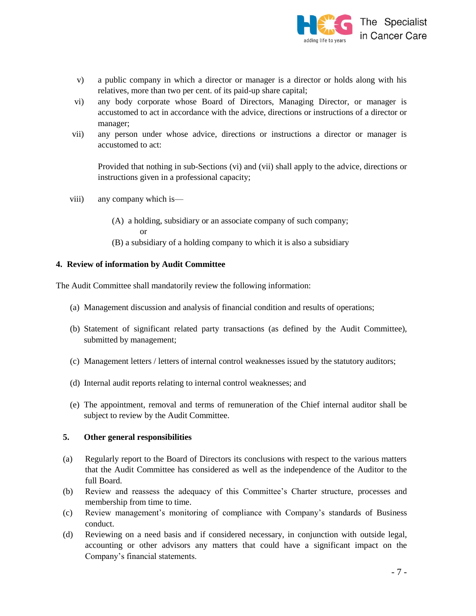

- v) a public company in which a director or manager is a director or holds along with his relatives, more than two per cent. of its paid-up share capital;
- vi) any body corporate whose Board of Directors, Managing Director, or manager is accustomed to act in accordance with the advice, directions or instructions of a director or manager;
- vii) any person under whose advice, directions or instructions a director or manager is accustomed to act:

Provided that nothing in sub-Sections (vi) and (vii) shall apply to the advice, directions or instructions given in a professional capacity;

- viii) any company which is—
	- (A) a holding, subsidiary or an associate company of such company; or (B) a subsidiary of a holding company to which it is also a subsidiary
	-

#### **4. Review of information by Audit Committee**

The Audit Committee shall mandatorily review the following information:

- (a) Management discussion and analysis of financial condition and results of operations;
- (b) Statement of significant related party transactions (as defined by the Audit Committee), submitted by management;
- (c) Management letters / letters of internal control weaknesses issued by the statutory auditors;
- (d) Internal audit reports relating to internal control weaknesses; and
- (e) The appointment, removal and terms of remuneration of the Chief internal auditor shall be subject to review by the Audit Committee.

### **5. Other general responsibilities**

- (a) Regularly report to the Board of Directors its conclusions with respect to the various matters that the Audit Committee has considered as well as the independence of the Auditor to the full Board.
- (b) Review and reassess the adequacy of this Committee's Charter structure, processes and membership from time to time.
- (c) Review management's monitoring of compliance with Company's standards of Business conduct.
- (d) Reviewing on a need basis and if considered necessary, in conjunction with outside legal, accounting or other advisors any matters that could have a significant impact on the Company's financial statements.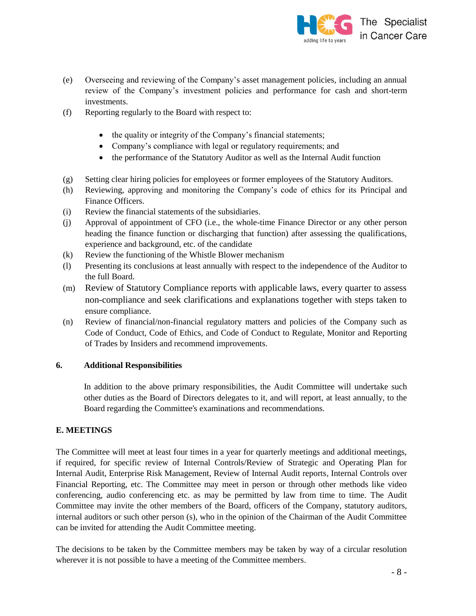

- (e) Overseeing and reviewing of the Company's asset management policies, including an annual review of the Company's investment policies and performance for cash and short-term investments.
- (f) Reporting regularly to the Board with respect to:
	- the quality or integrity of the Company's financial statements;
	- Company's compliance with legal or regulatory requirements; and
	- the performance of the Statutory Auditor as well as the Internal Audit function
- (g) Setting clear hiring policies for employees or former employees of the Statutory Auditors.
- (h) Reviewing, approving and monitoring the Company's code of ethics for its Principal and Finance Officers.
- (i) Review the financial statements of the subsidiaries.
- (j) Approval of appointment of CFO (i.e., the whole-time Finance Director or any other person heading the finance function or discharging that function) after assessing the qualifications, experience and background, etc. of the candidate
- (k) Review the functioning of the Whistle Blower mechanism
- (l) Presenting its conclusions at least annually with respect to the independence of the Auditor to the full Board.
- (m) Review of Statutory Compliance reports with applicable laws, every quarter to assess non-compliance and seek clarifications and explanations together with steps taken to ensure compliance.
- (n) Review of financial/non-financial regulatory matters and policies of the Company such as Code of Conduct, Code of Ethics, and Code of Conduct to Regulate, Monitor and Reporting of Trades by Insiders and recommend improvements.

### **6. Additional Responsibilities**

In addition to the above primary responsibilities, the Audit Committee will undertake such other duties as the Board of Directors delegates to it, and will report, at least annually, to the Board regarding the Committee's examinations and recommendations.

### **E. MEETINGS**

The Committee will meet at least four times in a year for quarterly meetings and additional meetings, if required, for specific review of Internal Controls/Review of Strategic and Operating Plan for Internal Audit, Enterprise Risk Management, Review of Internal Audit reports, Internal Controls over Financial Reporting, etc. The Committee may meet in person or through other methods like video conferencing, audio conferencing etc. as may be permitted by law from time to time. The Audit Committee may invite the other members of the Board, officers of the Company, statutory auditors, internal auditors or such other person (s), who in the opinion of the Chairman of the Audit Committee can be invited for attending the Audit Committee meeting.

The decisions to be taken by the Committee members may be taken by way of a circular resolution wherever it is not possible to have a meeting of the Committee members.